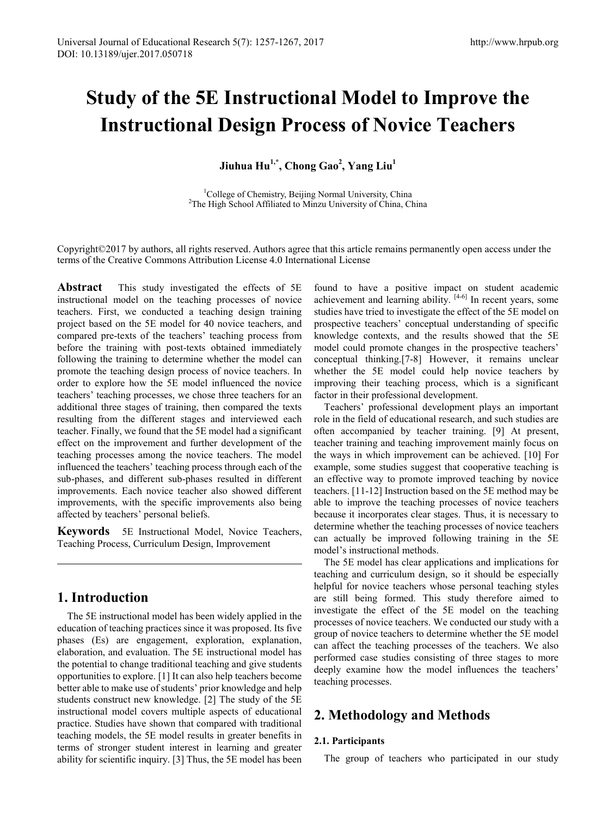# **Study of the 5E Instructional Model to Improve the Instructional Design Process of Novice Teachers**

**Jiuhua Hu1,\*, Chong Gao2 , Yang Liu1** 

<sup>1</sup>College of Chemistry, Beijing Normal University, China<br><sup>2</sup>The High School Affiliated to Minzu University of China. C <sup>2</sup>The High School Affiliated to Minzu University of China, China

Copyright©2017 by authors, all rights reserved. Authors agree that this article remains permanently open access under the terms of the Creative Commons Attribution License 4.0 International License

**Abstract** This study investigated the effects of 5E instructional model on the teaching processes of novice teachers. First, we conducted a teaching design training project based on the 5E model for 40 novice teachers, and compared pre-texts of the teachers' teaching process from before the training with post-texts obtained immediately following the training to determine whether the model can promote the teaching design process of novice teachers. In order to explore how the 5E model influenced the novice teachers' teaching processes, we chose three teachers for an additional three stages of training, then compared the texts resulting from the different stages and interviewed each teacher. Finally, we found that the 5E model had a significant effect on the improvement and further development of the teaching processes among the novice teachers. The model influenced the teachers' teaching process through each of the sub-phases, and different sub-phases resulted in different improvements. Each novice teacher also showed different improvements, with the specific improvements also being affected by teachers' personal beliefs.

**Keywords** 5E Instructional Model, Novice Teachers, Teaching Process, Curriculum Design, Improvement

# **1. Introduction**

The 5E instructional model has been widely applied in the education of teaching practices since it was proposed. Its five phases (Es) are engagement, exploration, explanation, elaboration, and evaluation. The 5E instructional model has the potential to change traditional teaching and give students opportunities to explore. [1] It can also help teachers become better able to make use of students' prior knowledge and help students construct new knowledge. [2] The study of the 5E instructional model covers multiple aspects of educational practice. Studies have shown that compared with traditional teaching models, the 5E model results in greater benefits in terms of stronger student interest in learning and greater ability for scientific inquiry. [3] Thus, the 5E model has been

found to have a positive impact on student academic achievement and learning ability.  $[4-6]$  In recent years, some studies have tried to investigate the effect of the 5E model on prospective teachers' conceptual understanding of specific knowledge contexts, and the results showed that the 5E model could promote changes in the prospective teachers' conceptual thinking.[7-8] However, it remains unclear whether the 5E model could help novice teachers by improving their teaching process, which is a significant factor in their professional development.

Teachers' professional development plays an important role in the field of educational research, and such studies are often accompanied by teacher training. [9] At present, teacher training and teaching improvement mainly focus on the ways in which improvement can be achieved. [10] For example, some studies suggest that cooperative teaching is an effective way to promote improved teaching by novice teachers. [11-12] Instruction based on the 5E method may be able to improve the teaching processes of novice teachers because it incorporates clear stages. Thus, it is necessary to determine whether the teaching processes of novice teachers can actually be improved following training in the 5E model's instructional methods.

The 5E model has clear applications and implications for teaching and curriculum design, so it should be especially helpful for novice teachers whose personal teaching styles are still being formed. This study therefore aimed to investigate the effect of the 5E model on the teaching processes of novice teachers. We conducted our study with a group of novice teachers to determine whether the 5E model can affect the teaching processes of the teachers. We also performed case studies consisting of three stages to more deeply examine how the model influences the teachers' teaching processes.

# **2. Methodology and Methods**

## **2.1. Participants**

The group of teachers who participated in our study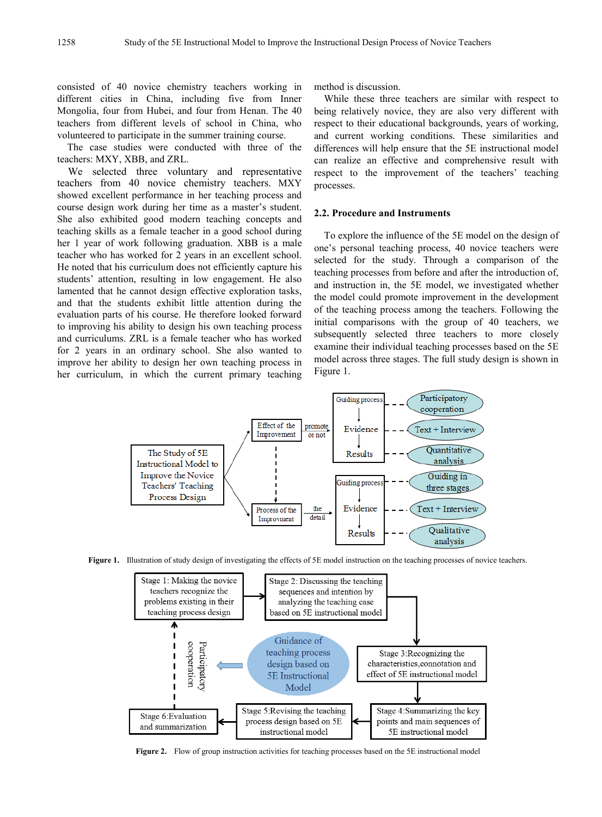consisted of 40 novice chemistry teachers working in different cities in China, including five from Inner Mongolia, four from Hubei, and four from Henan. The 40 teachers from different levels of school in China, who volunteered to participate in the summer training course.

The case studies were conducted with three of the teachers: MXY, XBB, and ZRL.

We selected three voluntary and representative teachers from 40 novice chemistry teachers. MXY showed excellent performance in her teaching process and course design work during her time as a master's student. She also exhibited good modern teaching concepts and teaching skills as a female teacher in a good school during her 1 year of work following graduation. XBB is a male teacher who has worked for 2 years in an excellent school. He noted that his curriculum does not efficiently capture his students' attention, resulting in low engagement. He also lamented that he cannot design effective exploration tasks, and that the students exhibit little attention during the evaluation parts of his course. He therefore looked forward to improving his ability to design his own teaching process and curriculums. ZRL is a female teacher who has worked for 2 years in an ordinary school. She also wanted to improve her ability to design her own teaching process in her curriculum, in which the current primary teaching method is discussion.

While these three teachers are similar with respect to being relatively novice, they are also very different with respect to their educational backgrounds, years of working, and current working conditions. These similarities and differences will help ensure that the 5E instructional model can realize an effective and comprehensive result with respect to the improvement of the teachers' teaching processes.

## **2.2. Procedure and Instruments**

To explore the influence of the 5E model on the design of one's personal teaching process, 40 novice teachers were selected for the study. Through a comparison of the teaching processes from before and after the introduction of, and instruction in, the 5E model, we investigated whether the model could promote improvement in the development of the teaching process among the teachers. Following the initial comparisons with the group of 40 teachers, we subsequently selected three teachers to more closely examine their individual teaching processes based on the 5E model across three stages. The full study design is shown in Figure 1.



**Figure 1.** Illustration of study design of investigating the effects of 5E model instruction on the teaching processes of novice teachers.



**Figure 2.** Flow of group instruction activities for teaching processes based on the 5E instructional model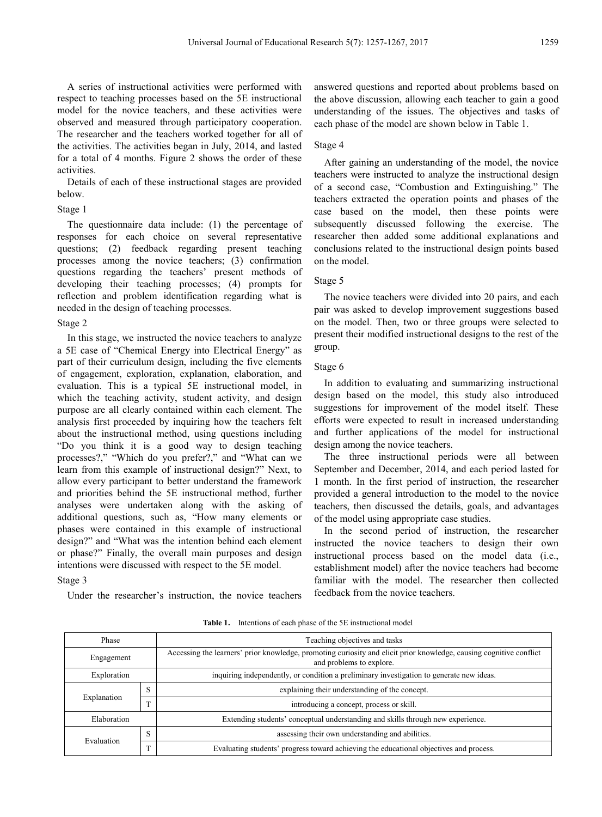A series of instructional activities were performed with respect to teaching processes based on the 5E instructional model for the novice teachers, and these activities were observed and measured through participatory cooperation. The researcher and the teachers worked together for all of the activities. The activities began in July, 2014, and lasted for a total of 4 months. Figure 2 shows the order of these activities.

Details of each of these instructional stages are provided below.

#### Stage 1

The questionnaire data include: (1) the percentage of responses for each choice on several representative questions; (2) feedback regarding present teaching processes among the novice teachers; (3) confirmation questions regarding the teachers' present methods of developing their teaching processes; (4) prompts for reflection and problem identification regarding what is needed in the design of teaching processes.

#### Stage 2

In this stage, we instructed the novice teachers to analyze a 5E case of "Chemical Energy into Electrical Energy" as part of their curriculum design, including the five elements of engagement, exploration, explanation, elaboration, and evaluation. This is a typical 5E instructional model, in which the teaching activity, student activity, and design purpose are all clearly contained within each element. The analysis first proceeded by inquiring how the teachers felt about the instructional method, using questions including "Do you think it is a good way to design teaching processes?," "Which do you prefer?," and "What can we learn from this example of instructional design?" Next, to allow every participant to better understand the framework and priorities behind the 5E instructional method, further analyses were undertaken along with the asking of additional questions, such as, "How many elements or phases were contained in this example of instructional design?" and "What was the intention behind each element or phase?" Finally, the overall main purposes and design intentions were discussed with respect to the 5E model.

## Stage 3

Under the researcher's instruction, the novice teachers

answered questions and reported about problems based on the above discussion, allowing each teacher to gain a good understanding of the issues. The objectives and tasks of each phase of the model are shown below in Table 1.

#### Stage 4

After gaining an understanding of the model, the novice teachers were instructed to analyze the instructional design of a second case, "Combustion and Extinguishing." The teachers extracted the operation points and phases of the case based on the model, then these points were subsequently discussed following the exercise. The researcher then added some additional explanations and conclusions related to the instructional design points based on the model.

#### Stage 5

The novice teachers were divided into 20 pairs, and each pair was asked to develop improvement suggestions based on the model. Then, two or three groups were selected to present their modified instructional designs to the rest of the group.

#### Stage 6

In addition to evaluating and summarizing instructional design based on the model, this study also introduced suggestions for improvement of the model itself. These efforts were expected to result in increased understanding and further applications of the model for instructional design among the novice teachers.

The three instructional periods were all between September and December, 2014, and each period lasted for 1 month. In the first period of instruction, the researcher provided a general introduction to the model to the novice teachers, then discussed the details, goals, and advantages of the model using appropriate case studies.

In the second period of instruction, the researcher instructed the novice teachers to design their own instructional process based on the model data (i.e., establishment model) after the novice teachers had become familiar with the model. The researcher then collected feedback from the novice teachers.

**Table 1.** Intentions of each phase of the 5E instructional model

| Phase       |   | Teaching objectives and tasks                                                                                                                   |  |  |  |
|-------------|---|-------------------------------------------------------------------------------------------------------------------------------------------------|--|--|--|
| Engagement  |   | Accessing the learners' prior knowledge, promoting curiosity and elicit prior knowledge, causing cognitive conflict<br>and problems to explore. |  |  |  |
| Exploration |   | inquiring independently, or condition a preliminary investigation to generate new ideas.                                                        |  |  |  |
|             | S | explaining their understanding of the concept.                                                                                                  |  |  |  |
| Explanation | m | introducing a concept, process or skill.                                                                                                        |  |  |  |
| Elaboration |   | Extending students' conceptual understanding and skills through new experience.                                                                 |  |  |  |
| Evaluation  | S | assessing their own understanding and abilities.                                                                                                |  |  |  |
|             | m | Evaluating students' progress toward achieving the educational objectives and process.                                                          |  |  |  |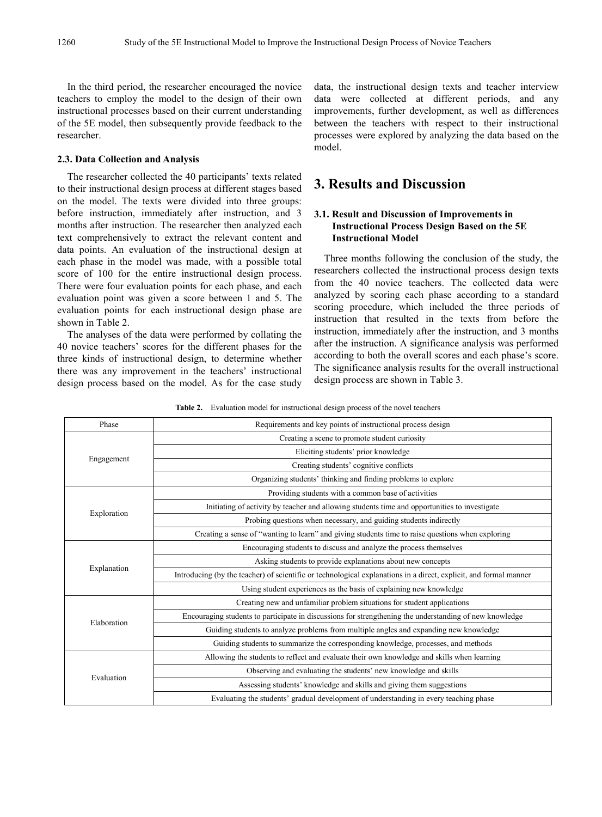In the third period, the researcher encouraged the novice teachers to employ the model to the design of their own instructional processes based on their current understanding of the 5E model, then subsequently provide feedback to the researcher.

#### **2.3. Data Collection and Analysis**

The researcher collected the 40 participants' texts related to their instructional design process at different stages based on the model. The texts were divided into three groups: before instruction, immediately after instruction, and 3 months after instruction. The researcher then analyzed each text comprehensively to extract the relevant content and data points. An evaluation of the instructional design at each phase in the model was made, with a possible total score of 100 for the entire instructional design process. There were four evaluation points for each phase, and each evaluation point was given a score between 1 and 5. The evaluation points for each instructional design phase are shown in Table 2.

The analyses of the data were performed by collating the 40 novice teachers' scores for the different phases for the three kinds of instructional design, to determine whether there was any improvement in the teachers' instructional design process based on the model. As for the case study data, the instructional design texts and teacher interview data were collected at different periods, and any improvements, further development, as well as differences between the teachers with respect to their instructional processes were explored by analyzing the data based on the model.

# **3. Results and Discussion**

## **3.1. Result and Discussion of Improvements in Instructional Process Design Based on the 5E Instructional Model**

Three months following the conclusion of the study, the researchers collected the instructional process design texts from the 40 novice teachers. The collected data were analyzed by scoring each phase according to a standard scoring procedure, which included the three periods of instruction that resulted in the texts from before the instruction, immediately after the instruction, and 3 months after the instruction. A significance analysis was performed according to both the overall scores and each phase's score. The significance analysis results for the overall instructional design process are shown in Table 3.

**Table 2.** Evaluation model for instructional design process of the novel teachers

| Phase       | Requirements and key points of instructional process design                                                       |  |  |  |  |
|-------------|-------------------------------------------------------------------------------------------------------------------|--|--|--|--|
|             | Creating a scene to promote student curiosity                                                                     |  |  |  |  |
| Engagement  | Eliciting students' prior knowledge                                                                               |  |  |  |  |
|             | Creating students' cognitive conflicts                                                                            |  |  |  |  |
|             | Organizing students' thinking and finding problems to explore                                                     |  |  |  |  |
|             | Providing students with a common base of activities                                                               |  |  |  |  |
|             | Initiating of activity by teacher and allowing students time and opportunities to investigate                     |  |  |  |  |
| Exploration | Probing questions when necessary, and guiding students indirectly                                                 |  |  |  |  |
|             | Creating a sense of "wanting to learn" and giving students time to raise questions when exploring                 |  |  |  |  |
|             | Encouraging students to discuss and analyze the process themselves                                                |  |  |  |  |
|             | Asking students to provide explanations about new concepts                                                        |  |  |  |  |
| Explanation | Introducing (by the teacher) of scientific or technological explanations in a direct, explicit, and formal manner |  |  |  |  |
|             | Using student experiences as the basis of explaining new knowledge                                                |  |  |  |  |
|             | Creating new and unfamiliar problem situations for student applications                                           |  |  |  |  |
| Elaboration | Encouraging students to participate in discussions for strengthening the understanding of new knowledge           |  |  |  |  |
|             | Guiding students to analyze problems from multiple angles and expanding new knowledge                             |  |  |  |  |
|             | Guiding students to summarize the corresponding knowledge, processes, and methods                                 |  |  |  |  |
|             | Allowing the students to reflect and evaluate their own knowledge and skills when learning                        |  |  |  |  |
| Evaluation  | Observing and evaluating the students' new knowledge and skills                                                   |  |  |  |  |
|             | Assessing students' knowledge and skills and giving them suggestions                                              |  |  |  |  |
|             | Evaluating the students' gradual development of understanding in every teaching phase                             |  |  |  |  |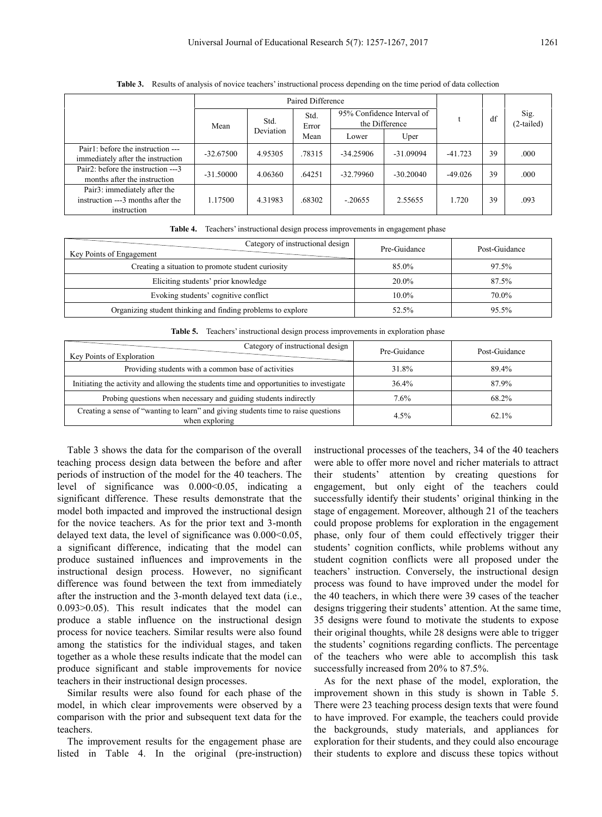|                                                                                  | Paired Difference |                   |               |                                              |             |           |    |                      |
|----------------------------------------------------------------------------------|-------------------|-------------------|---------------|----------------------------------------------|-------------|-----------|----|----------------------|
|                                                                                  | Mean              | Std.<br>Deviation | Std.<br>Error | 95% Confidence Interval of<br>the Difference |             |           | df | Sig.<br>$(2-tailed)$ |
|                                                                                  |                   |                   | Mean          | Lower                                        | Uper        |           |    |                      |
| Pair1: before the instruction ---<br>immediately after the instruction           | $-32.67500$       | 4.95305           | .78315        | $-34.25906$                                  | $-31.09094$ | $-41.723$ | 39 | .000                 |
| Pair <sub>2</sub> : before the instruction ---3<br>months after the instruction  | $-31.50000$       | 4.06360           | .64251        | $-32.79960$                                  | $-30.20040$ | $-49.026$ | 39 | .000                 |
| Pair3: immediately after the<br>instruction ---3 months after the<br>instruction | 1.17500           | 4.31983           | .68302        | $-20655$                                     | 2.55655     | 1.720     | 39 | .093                 |

**Table 3.** Results of analysis of novice teachers' instructional process depending on the time period of data collection

| Category of instructional design<br>Key Points of Engagement | Pre-Guidance | Post-Guidance |
|--------------------------------------------------------------|--------------|---------------|
| Creating a situation to promote student curiosity            | 85.0%        | 97.5%         |
| Eliciting students' prior knowledge                          | $20.0\%$     | 87.5%         |
| Evoking students' cognitive conflict                         | $10.0\%$     | 70.0%         |
| Organizing student thinking and finding problems to explore  | 52.5%        | $95.5\%$      |
|                                                              |              |               |

**Table 4.** Teachers' instructional design process improvements in engagement phase

|  | Table 5. Teachers' instructional design process improvements in exploration phase |  |  |  |
|--|-----------------------------------------------------------------------------------|--|--|--|
|  |                                                                                   |  |  |  |

| Category of instructional design<br>Key Points of Exploration                                        | Pre-Guidance | Post-Guidance |
|------------------------------------------------------------------------------------------------------|--------------|---------------|
| Providing students with a common base of activities                                                  | 31.8%        | 89.4%         |
| Initiating the activity and allowing the students time and opportunities to investigate              | 36.4%        | 87.9%         |
| Probing questions when necessary and guiding students indirectly                                     | 7.6%         | 68.2%         |
| Creating a sense of "wanting to learn" and giving students time to raise questions<br>when exploring | 4.5%         | $62.1\%$      |

Table 3 shows the data for the comparison of the overall teaching process design data between the before and after periods of instruction of the model for the 40 teachers. The level of significance was  $0.000<0.05$ , indicating a significant difference. These results demonstrate that the model both impacted and improved the instructional design for the novice teachers. As for the prior text and 3-month delayed text data, the level of significance was  $0.000<0.05$ , a significant difference, indicating that the model can produce sustained influences and improvements in the instructional design process. However, no significant difference was found between the text from immediately after the instruction and the 3-month delayed text data (i.e., 0.093>0.05). This result indicates that the model can produce a stable influence on the instructional design process for novice teachers. Similar results were also found among the statistics for the individual stages, and taken together as a whole these results indicate that the model can produce significant and stable improvements for novice teachers in their instructional design processes.

Similar results were also found for each phase of the model, in which clear improvements were observed by a comparison with the prior and subsequent text data for the teachers.

The improvement results for the engagement phase are listed in Table 4. In the original (pre-instruction) instructional processes of the teachers, 34 of the 40 teachers were able to offer more novel and richer materials to attract their students' attention by creating questions for engagement, but only eight of the teachers could successfully identify their students' original thinking in the stage of engagement. Moreover, although 21 of the teachers could propose problems for exploration in the engagement phase, only four of them could effectively trigger their students' cognition conflicts, while problems without any student cognition conflicts were all proposed under the teachers' instruction. Conversely, the instructional design process was found to have improved under the model for the 40 teachers, in which there were 39 cases of the teacher designs triggering their students' attention. At the same time, 35 designs were found to motivate the students to expose their original thoughts, while 28 designs were able to trigger the students' cognitions regarding conflicts. The percentage of the teachers who were able to accomplish this task successfully increased from 20% to 87.5%.

As for the next phase of the model, exploration, the improvement shown in this study is shown in Table 5. There were 23 teaching process design texts that were found to have improved. For example, the teachers could provide the backgrounds, study materials, and appliances for exploration for their students, and they could also encourage their students to explore and discuss these topics without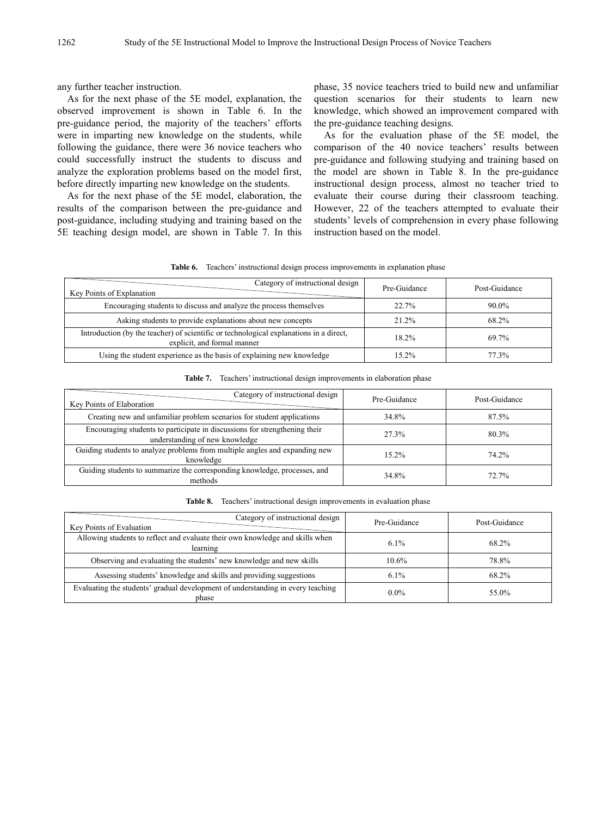any further teacher instruction.

As for the next phase of the 5E model, explanation, the observed improvement is shown in Table 6. In the pre-guidance period, the majority of the teachers' efforts were in imparting new knowledge on the students, while following the guidance, there were 36 novice teachers who could successfully instruct the students to discuss and analyze the exploration problems based on the model first, before directly imparting new knowledge on the students.

As for the next phase of the 5E model, elaboration, the results of the comparison between the pre-guidance and post-guidance, including studying and training based on the 5E teaching design model, are shown in Table 7. In this phase, 35 novice teachers tried to build new and unfamiliar question scenarios for their students to learn new knowledge, which showed an improvement compared with the pre-guidance teaching designs.

As for the evaluation phase of the 5E model, the comparison of the 40 novice teachers' results between pre-guidance and following studying and training based on the model are shown in Table 8. In the pre-guidance instructional design process, almost no teacher tried to evaluate their course during their classroom teaching. However, 22 of the teachers attempted to evaluate their students' levels of comprehension in every phase following instruction based on the model.

| Table 6. | Teachers' instructional design process improvements in explanation phase |  |  |  |
|----------|--------------------------------------------------------------------------|--|--|--|
|          |                                                                          |  |  |  |

| Category of instructional design<br>Key Points of Explanation                                                         | Pre-Guidance | Post-Guidance |
|-----------------------------------------------------------------------------------------------------------------------|--------------|---------------|
| Encouraging students to discuss and analyze the process themselves                                                    | 22.7%        | $90.0\%$      |
| Asking students to provide explanations about new concepts                                                            | 21.2%        | 68.2%         |
| Introduction (by the teacher) of scientific or technological explanations in a direct,<br>explicit, and formal manner | $18.2\%$     | 69.7%         |
| Using the student experience as the basis of explaining new knowledge                                                 | 15.2%        | 77.3%         |

| Table 7. |  | Teachers' instructional design improvements in elaboration phase |  |  |
|----------|--|------------------------------------------------------------------|--|--|
|          |  |                                                                  |  |  |

| Category of instructional design<br>Key Points of Elaboration                                                | Pre-Guidance | Post-Guidance |
|--------------------------------------------------------------------------------------------------------------|--------------|---------------|
| Creating new and unfamiliar problem scenarios for student applications                                       | 34.8%        | 87.5%         |
| Encouraging students to participate in discussions for strengthening their<br>understanding of new knowledge | 27.3%        | 80.3%         |
| Guiding students to analyze problems from multiple angles and expanding new<br>knowledge                     | $15.2\%$     | 74.2%         |
| Guiding students to summarize the corresponding knowledge, processes, and<br>methods                         | 34.8%        | 72.7%         |

**Table 8.** Teachers' instructional design improvements in evaluation phase

| Category of instructional design<br>Key Points of Evaluation                              | Pre-Guidance | Post-Guidance |
|-------------------------------------------------------------------------------------------|--------------|---------------|
| Allowing students to reflect and evaluate their own knowledge and skills when<br>learning | $6.1\%$      | 68.2%         |
| Observing and evaluating the students' new knowledge and new skills                       | $10.6\%$     | 78.8%         |
| Assessing students' knowledge and skills and providing suggestions                        | $6.1\%$      | 68.2%         |
| Evaluating the students' gradual development of understanding in every teaching<br>phase  | $0.0\%$      | 55.0%         |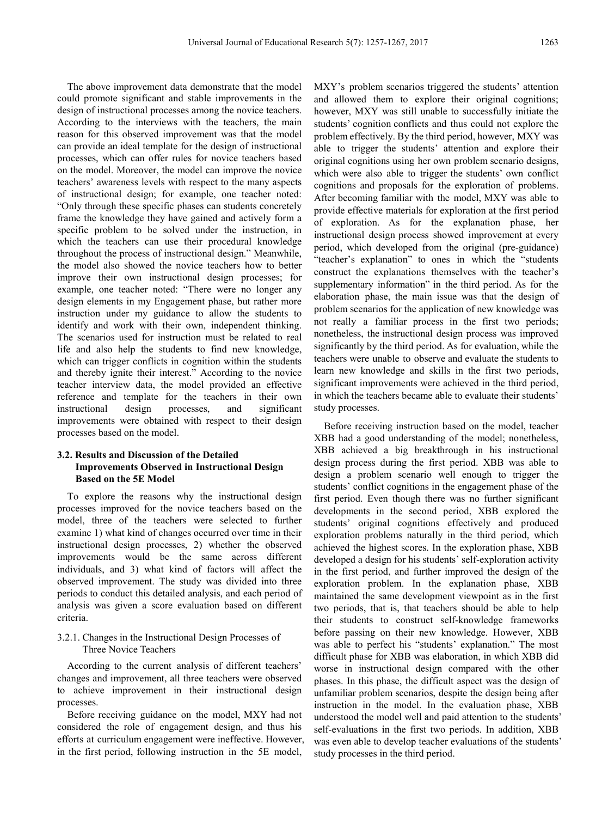The above improvement data demonstrate that the model could promote significant and stable improvements in the design of instructional processes among the novice teachers. According to the interviews with the teachers, the main reason for this observed improvement was that the model can provide an ideal template for the design of instructional processes, which can offer rules for novice teachers based on the model. Moreover, the model can improve the novice teachers' awareness levels with respect to the many aspects of instructional design; for example, one teacher noted: "Only through these specific phases can students concretely frame the knowledge they have gained and actively form a specific problem to be solved under the instruction, in which the teachers can use their procedural knowledge throughout the process of instructional design." Meanwhile, the model also showed the novice teachers how to better improve their own instructional design processes; for example, one teacher noted: "There were no longer any design elements in my Engagement phase, but rather more instruction under my guidance to allow the students to identify and work with their own, independent thinking. The scenarios used for instruction must be related to real life and also help the students to find new knowledge, which can trigger conflicts in cognition within the students and thereby ignite their interest." According to the novice teacher interview data, the model provided an effective reference and template for the teachers in their own instructional design processes, and significant improvements were obtained with respect to their design processes based on the model.

## **3.2. Results and Discussion of the Detailed Improvements Observed in Instructional Design Based on the 5E Model**

To explore the reasons why the instructional design processes improved for the novice teachers based on the model, three of the teachers were selected to further examine 1) what kind of changes occurred over time in their instructional design processes, 2) whether the observed improvements would be the same across different individuals, and 3) what kind of factors will affect the observed improvement. The study was divided into three periods to conduct this detailed analysis, and each period of analysis was given a score evaluation based on different criteria.

## 3.2.1. Changes in the Instructional Design Processes of Three Novice Teachers

According to the current analysis of different teachers' changes and improvement, all three teachers were observed to achieve improvement in their instructional design processes.

Before receiving guidance on the model, MXY had not considered the role of engagement design, and thus his efforts at curriculum engagement were ineffective. However, in the first period, following instruction in the 5E model,

MXY's problem scenarios triggered the students' attention and allowed them to explore their original cognitions; however, MXY was still unable to successfully initiate the students' cognition conflicts and thus could not explore the problem effectively. By the third period, however, MXY was able to trigger the students' attention and explore their original cognitions using her own problem scenario designs, which were also able to trigger the students' own conflict cognitions and proposals for the exploration of problems. After becoming familiar with the model, MXY was able to provide effective materials for exploration at the first period of exploration. As for the explanation phase, her instructional design process showed improvement at every period, which developed from the original (pre-guidance) "teacher's explanation" to ones in which the "students construct the explanations themselves with the teacher's supplementary information" in the third period. As for the elaboration phase, the main issue was that the design of problem scenarios for the application of new knowledge was not really a familiar process in the first two periods; nonetheless, the instructional design process was improved significantly by the third period. As for evaluation, while the teachers were unable to observe and evaluate the students to learn new knowledge and skills in the first two periods, significant improvements were achieved in the third period, in which the teachers became able to evaluate their students' study processes.

Before receiving instruction based on the model, teacher XBB had a good understanding of the model; nonetheless, XBB achieved a big breakthrough in his instructional design process during the first period. XBB was able to design a problem scenario well enough to trigger the students' conflict cognitions in the engagement phase of the first period. Even though there was no further significant developments in the second period, XBB explored the students' original cognitions effectively and produced exploration problems naturally in the third period, which achieved the highest scores. In the exploration phase, XBB developed a design for his students' self-exploration activity in the first period, and further improved the design of the exploration problem. In the explanation phase, XBB maintained the same development viewpoint as in the first two periods, that is, that teachers should be able to help their students to construct self-knowledge frameworks before passing on their new knowledge. However, XBB was able to perfect his "students' explanation." The most difficult phase for XBB was elaboration, in which XBB did worse in instructional design compared with the other phases. In this phase, the difficult aspect was the design of unfamiliar problem scenarios, despite the design being after instruction in the model. In the evaluation phase, XBB understood the model well and paid attention to the students' self-evaluations in the first two periods. In addition, XBB was even able to develop teacher evaluations of the students' study processes in the third period.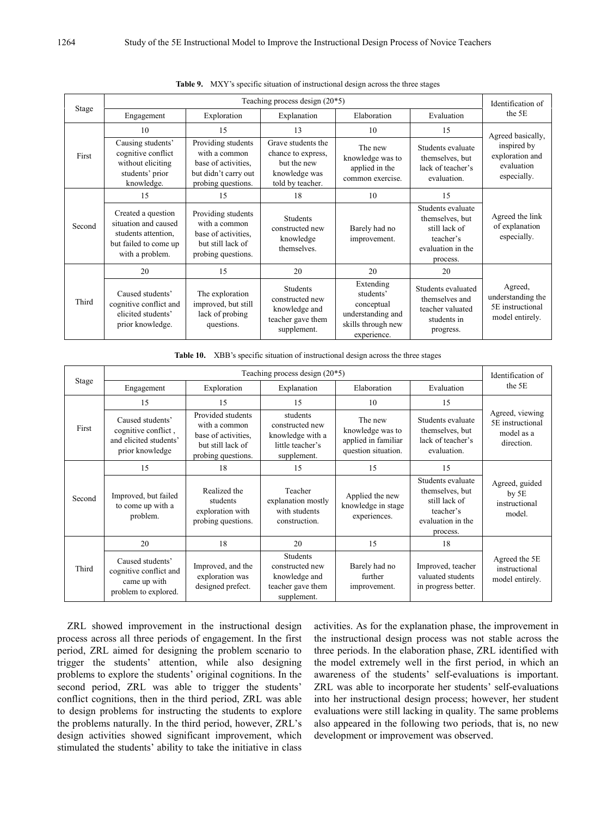|        |                                                                                                               |                                                                                                          | Identification of                                                                            |                                                                                                |                                                                                                     |                                                                     |
|--------|---------------------------------------------------------------------------------------------------------------|----------------------------------------------------------------------------------------------------------|----------------------------------------------------------------------------------------------|------------------------------------------------------------------------------------------------|-----------------------------------------------------------------------------------------------------|---------------------------------------------------------------------|
| Stage  | Engagement                                                                                                    | Exploration                                                                                              | Explanation                                                                                  | Elaboration                                                                                    | Evaluation                                                                                          | the 5E                                                              |
|        | 10                                                                                                            | 15                                                                                                       | 13                                                                                           | 10                                                                                             | 15                                                                                                  | Agreed basically,                                                   |
| First  | Causing students'<br>cognitive conflict<br>without eliciting<br>students' prior<br>knowledge.                 | Providing students<br>with a common<br>base of activities.<br>but didn't carry out<br>probing questions. | Grave students the<br>chance to express,<br>but the new<br>knowledge was<br>told by teacher. | The new<br>knowledge was to<br>applied in the<br>common exercise.                              | Students evaluate<br>themselves, but<br>lack of teacher's<br>evaluation.                            | inspired by<br>exploration and<br>evaluation<br>especially.         |
|        | 15                                                                                                            | 15                                                                                                       | 18                                                                                           | 10                                                                                             | 15                                                                                                  |                                                                     |
| Second | Created a question<br>situation and caused<br>students attention.<br>but failed to come up<br>with a problem. | Providing students<br>with a common<br>base of activities.<br>but still lack of<br>probing questions.    | <b>Students</b><br>constructed new<br>knowledge<br>themselves.                               | Barely had no<br>improvement.                                                                  | Students evaluate<br>themselves, but<br>still lack of<br>teacher's<br>evaluation in the<br>process. | Agreed the link<br>of explanation<br>especially.                    |
|        | 20                                                                                                            | 15                                                                                                       | 20                                                                                           | 20                                                                                             | 20                                                                                                  |                                                                     |
| Third  | Caused students'<br>cognitive conflict and<br>elicited students'<br>prior knowledge.                          | The exploration<br>improved, but still<br>lack of probing<br>questions.                                  | Students<br>constructed new<br>knowledge and<br>teacher gave them<br>supplement.             | Extending<br>students'<br>conceptual<br>understanding and<br>skills through new<br>experience. | Students evaluated<br>themselves and<br>teacher valuated<br>students in<br>progress.                | Agreed,<br>understanding the<br>5E instructional<br>model entirely. |

**Table 9.** MXY's specific situation of instructional design across the three stages

**Table 10.** XBB's specific situation of instructional design across the three stages

| Stage  | Teaching process design $(20*5)$                                                     |                                                                                                      |                                                                                    |                                                                           |                                                                                                     |                                                                 |  |
|--------|--------------------------------------------------------------------------------------|------------------------------------------------------------------------------------------------------|------------------------------------------------------------------------------------|---------------------------------------------------------------------------|-----------------------------------------------------------------------------------------------------|-----------------------------------------------------------------|--|
|        | Engagement                                                                           | Exploration                                                                                          | Explanation                                                                        | Elaboration                                                               | Evaluation                                                                                          | the 5E                                                          |  |
| First  | 15                                                                                   | 15                                                                                                   | 15                                                                                 | 10                                                                        | 15                                                                                                  | Agreed, viewing<br>5E instructional<br>model as a<br>direction. |  |
|        | Caused students'<br>cognitive conflict,<br>and elicited students'<br>prior knowledge | Provided students<br>with a common<br>base of activities.<br>but still lack of<br>probing questions. | students<br>constructed new<br>knowledge with a<br>little teacher's<br>supplement. | The new<br>knowledge was to<br>applied in familiar<br>question situation. | Students evaluate<br>themselves, but<br>lack of teacher's<br>evaluation.                            |                                                                 |  |
| Second | 15                                                                                   | 18                                                                                                   | 15                                                                                 | 15                                                                        | 15                                                                                                  | Agreed, guided<br>by 5E<br>instructional<br>model.              |  |
|        | Improved, but failed<br>to come up with a<br>problem.                                | Realized the<br>students<br>exploration with<br>probing questions.                                   | Teacher<br>explanation mostly<br>with students<br>construction.                    | Applied the new<br>knowledge in stage<br>experiences.                     | Students evaluate<br>themselves, but<br>still lack of<br>teacher's<br>evaluation in the<br>process. |                                                                 |  |
| Third  | 20                                                                                   | 18                                                                                                   | 20                                                                                 | 15                                                                        | 18                                                                                                  |                                                                 |  |
|        | Caused students'<br>cognitive conflict and<br>came up with<br>problem to explored.   | Improved, and the<br>exploration was<br>designed prefect.                                            | Students<br>constructed new<br>knowledge and<br>teacher gave them<br>supplement.   | Barely had no<br>further<br>improvement.                                  | Improved, teacher<br>valuated students<br>in progress better.                                       | Agreed the 5E<br>instructional<br>model entirely.               |  |

ZRL showed improvement in the instructional design process across all three periods of engagement. In the first period, ZRL aimed for designing the problem scenario to trigger the students' attention, while also designing problems to explore the students' original cognitions. In the second period, ZRL was able to trigger the students' conflict cognitions, then in the third period, ZRL was able to design problems for instructing the students to explore the problems naturally. In the third period, however, ZRL's design activities showed significant improvement, which stimulated the students' ability to take the initiative in class

activities. As for the explanation phase, the improvement in the instructional design process was not stable across the three periods. In the elaboration phase, ZRL identified with the model extremely well in the first period, in which an awareness of the students' self-evaluations is important. ZRL was able to incorporate her students' self-evaluations into her instructional design process; however, her student evaluations were still lacking in quality. The same problems also appeared in the following two periods, that is, no new development or improvement was observed.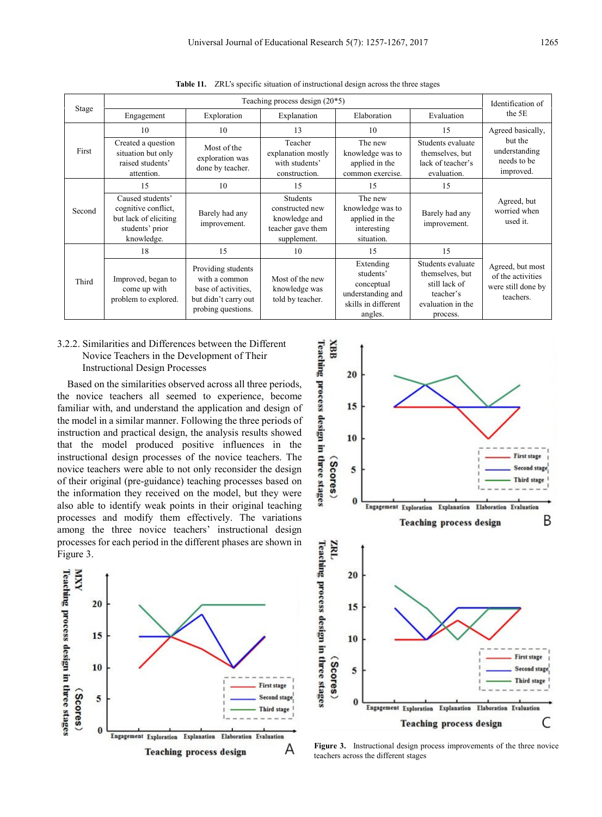| Stage  | Teaching process design $(20*5)$                                                                  |                                                                                                          |                                                                                         |                                                                                             |                                                                                                     |                                                                           |  |
|--------|---------------------------------------------------------------------------------------------------|----------------------------------------------------------------------------------------------------------|-----------------------------------------------------------------------------------------|---------------------------------------------------------------------------------------------|-----------------------------------------------------------------------------------------------------|---------------------------------------------------------------------------|--|
|        | Engagement                                                                                        | Exploration                                                                                              | Explanation                                                                             | Elaboration                                                                                 | Evaluation                                                                                          | the 5E                                                                    |  |
| First  | 10                                                                                                | 10                                                                                                       | 13                                                                                      | 10                                                                                          | 15                                                                                                  | Agreed basically,<br>but the<br>understanding<br>needs to be<br>improved. |  |
|        | Created a question<br>situation but only<br>raised students'<br>attention.                        | Most of the<br>exploration was<br>done by teacher.                                                       | Teacher<br>explanation mostly<br>with students'<br>construction.                        | The new<br>knowledge was to<br>applied in the<br>common exercise.                           | Students evaluate<br>themselves, but<br>lack of teacher's<br>evaluation.                            |                                                                           |  |
| Second | 15                                                                                                | 10                                                                                                       | 15                                                                                      | 15                                                                                          | 15                                                                                                  | Agreed, but<br>worried when<br>used it.                                   |  |
|        | Caused students'<br>cognitive conflict,<br>but lack of eliciting<br>students' prior<br>knowledge. | Barely had any<br>improvement.                                                                           | <b>Students</b><br>constructed new<br>knowledge and<br>teacher gave them<br>supplement. | The new<br>knowledge was to<br>applied in the<br>interesting<br>situation.                  | Barely had any<br>improvement.                                                                      |                                                                           |  |
| Third  | 18                                                                                                | 15                                                                                                       | 10                                                                                      | 15                                                                                          | 15                                                                                                  |                                                                           |  |
|        | Improved, began to<br>come up with<br>problem to explored.                                        | Providing students<br>with a common<br>base of activities.<br>but didn't carry out<br>probing questions. | Most of the new<br>knowledge was<br>told by teacher.                                    | Extending<br>students'<br>conceptual<br>understanding and<br>skills in different<br>angles. | Students evaluate<br>themselves, but<br>still lack of<br>teacher's<br>evaluation in the<br>process. | Agreed, but most<br>of the activities<br>were still done by<br>teachers.  |  |

**Table 11.** ZRL's specific situation of instructional design across the three stages

## 3.2.2. Similarities and Differences between the Different Novice Teachers in the Development of Their Instructional Design Processes

Based on the similarities observed across all three periods, the novice teachers all seemed to experience, become familiar with, and understand the application and design of the model in a similar manner. Following the three periods of instruction and practical design, the analysis results showed that the model produced positive influences in the instructional design processes of the novice teachers. The novice teachers were able to not only reconsider the design of their original (pre-guidance) teaching processes based on the information they received on the model, but they were also able to identify weak points in their original teaching processes and modify them effectively. The variations among the three novice teachers' instructional design processes for each period in the different phases are shown in Figure 3.





**Figure 3.** Instructional design process improvements of the three novice teachers across the different stages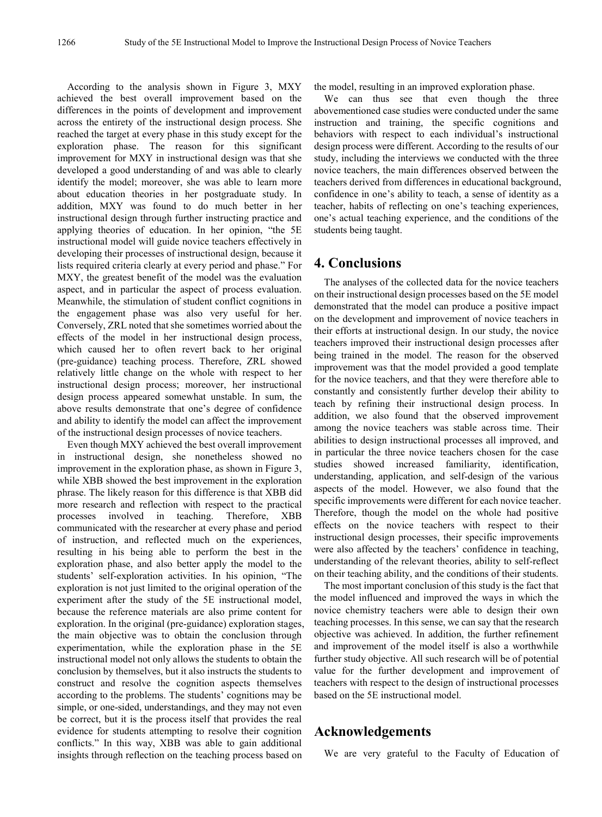According to the analysis shown in Figure 3, MXY achieved the best overall improvement based on the differences in the points of development and improvement across the entirety of the instructional design process. She reached the target at every phase in this study except for the exploration phase. The reason for this significant improvement for MXY in instructional design was that she developed a good understanding of and was able to clearly identify the model; moreover, she was able to learn more about education theories in her postgraduate study. In addition, MXY was found to do much better in her instructional design through further instructing practice and applying theories of education. In her opinion, "the 5E instructional model will guide novice teachers effectively in developing their processes of instructional design, because it lists required criteria clearly at every period and phase." For MXY, the greatest benefit of the model was the evaluation aspect, and in particular the aspect of process evaluation. Meanwhile, the stimulation of student conflict cognitions in the engagement phase was also very useful for her. Conversely, ZRL noted that she sometimes worried about the effects of the model in her instructional design process, which caused her to often revert back to her original (pre-guidance) teaching process. Therefore, ZRL showed relatively little change on the whole with respect to her instructional design process; moreover, her instructional design process appeared somewhat unstable. In sum, the above results demonstrate that one's degree of confidence and ability to identify the model can affect the improvement of the instructional design processes of novice teachers.

Even though MXY achieved the best overall improvement in instructional design, she nonetheless showed no improvement in the exploration phase, as shown in Figure 3, while XBB showed the best improvement in the exploration phrase. The likely reason for this difference is that XBB did more research and reflection with respect to the practical processes involved in teaching. Therefore, XBB communicated with the researcher at every phase and period of instruction, and reflected much on the experiences, resulting in his being able to perform the best in the exploration phase, and also better apply the model to the students' self-exploration activities. In his opinion, "The exploration is not just limited to the original operation of the experiment after the study of the 5E instructional model, because the reference materials are also prime content for exploration. In the original (pre-guidance) exploration stages, the main objective was to obtain the conclusion through experimentation, while the exploration phase in the 5E instructional model not only allows the students to obtain the conclusion by themselves, but it also instructs the students to construct and resolve the cognition aspects themselves according to the problems. The students' cognitions may be simple, or one-sided, understandings, and they may not even be correct, but it is the process itself that provides the real evidence for students attempting to resolve their cognition conflicts." In this way, XBB was able to gain additional insights through reflection on the teaching process based on

the model, resulting in an improved exploration phase.

We can thus see that even though the three abovementioned case studies were conducted under the same instruction and training, the specific cognitions and behaviors with respect to each individual's instructional design process were different. According to the results of our study, including the interviews we conducted with the three novice teachers, the main differences observed between the teachers derived from differences in educational background, confidence in one's ability to teach, a sense of identity as a teacher, habits of reflecting on one's teaching experiences, one's actual teaching experience, and the conditions of the students being taught.

# **4. Conclusions**

The analyses of the collected data for the novice teachers on their instructional design processes based on the 5E model demonstrated that the model can produce a positive impact on the development and improvement of novice teachers in their efforts at instructional design. In our study, the novice teachers improved their instructional design processes after being trained in the model. The reason for the observed improvement was that the model provided a good template for the novice teachers, and that they were therefore able to constantly and consistently further develop their ability to teach by refining their instructional design process. In addition, we also found that the observed improvement among the novice teachers was stable across time. Their abilities to design instructional processes all improved, and in particular the three novice teachers chosen for the case studies showed increased familiarity, identification, understanding, application, and self-design of the various aspects of the model. However, we also found that the specific improvements were different for each novice teacher. Therefore, though the model on the whole had positive effects on the novice teachers with respect to their instructional design processes, their specific improvements were also affected by the teachers' confidence in teaching, understanding of the relevant theories, ability to self-reflect on their teaching ability, and the conditions of their students.

The most important conclusion of this study is the fact that the model influenced and improved the ways in which the novice chemistry teachers were able to design their own teaching processes. In this sense, we can say that the research objective was achieved. In addition, the further refinement and improvement of the model itself is also a worthwhile further study objective. All such research will be of potential value for the further development and improvement of teachers with respect to the design of instructional processes based on the 5E instructional model.

## **Acknowledgements**

We are very grateful to the Faculty of Education of